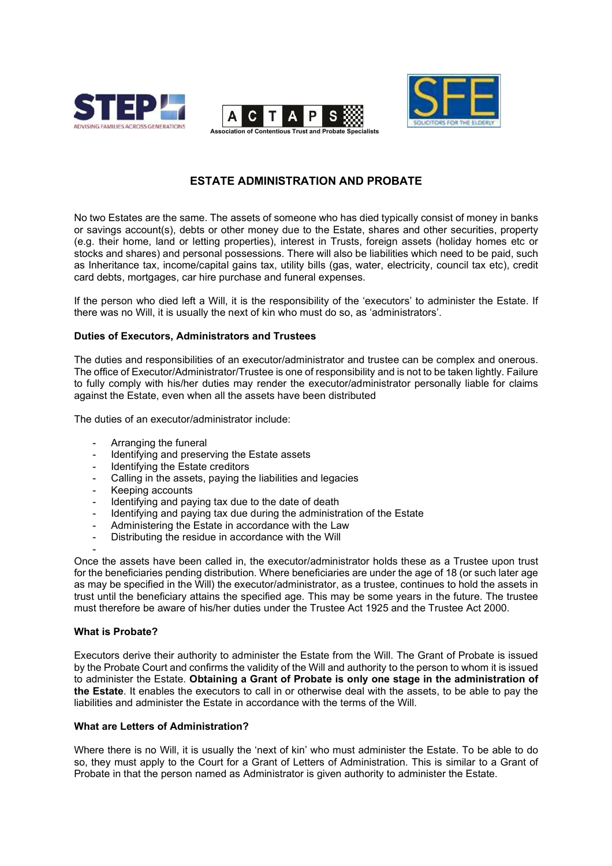





# **ESTATE ADMINISTRATION AND PROBATE**

No two Estates are the same. The assets of someone who has died typically consist of money in banks or savings account(s), debts or other money due to the Estate, shares and other securities, property (e.g. their home, land or letting properties), interest in Trusts, foreign assets (holiday homes etc or stocks and shares) and personal possessions. There will also be liabilities which need to be paid, such as Inheritance tax, income/capital gains tax, utility bills (gas, water, electricity, council tax etc), credit card debts, mortgages, car hire purchase and funeral expenses.

If the person who died left a Will, it is the responsibility of the 'executors' to administer the Estate. If there was no Will, it is usually the next of kin who must do so, as 'administrators'.

# **Duties of Executors, Administrators and Trustees**

The duties and responsibilities of an executor/administrator and trustee can be complex and onerous. The office of Executor/Administrator/Trustee is one of responsibility and is not to be taken lightly. Failure to fully comply with his/her duties may render the executor/administrator personally liable for claims against the Estate, even when all the assets have been distributed

The duties of an executor/administrator include:

- Arranging the funeral
- Identifying and preserving the Estate assets
- Identifying the Estate creditors
- Calling in the assets, paying the liabilities and legacies
- Keeping accounts
- Identifying and paying tax due to the date of death
- Identifying and paying tax due during the administration of the Estate
- Administering the Estate in accordance with the Law
- Distributing the residue in accordance with the Will

- Once the assets have been called in, the executor/administrator holds these as a Trustee upon trust for the beneficiaries pending distribution. Where beneficiaries are under the age of 18 (or such later age as may be specified in the Will) the executor/administrator, as a trustee, continues to hold the assets in trust until the beneficiary attains the specified age. This may be some years in the future. The trustee must therefore be aware of his/her duties under the Trustee Act 1925 and the Trustee Act 2000.

#### **What is Probate?**

Executors derive their authority to administer the Estate from the Will. The Grant of Probate is issued by the Probate Court and confirms the validity of the Will and authority to the person to whom it is issued to administer the Estate. **Obtaining a Grant of Probate is only one stage in the administration of the Estate**. It enables the executors to call in or otherwise deal with the assets, to be able to pay the liabilities and administer the Estate in accordance with the terms of the Will.

#### **What are Letters of Administration?**

Where there is no Will, it is usually the 'next of kin' who must administer the Estate. To be able to do so, they must apply to the Court for a Grant of Letters of Administration. This is similar to a Grant of Probate in that the person named as Administrator is given authority to administer the Estate.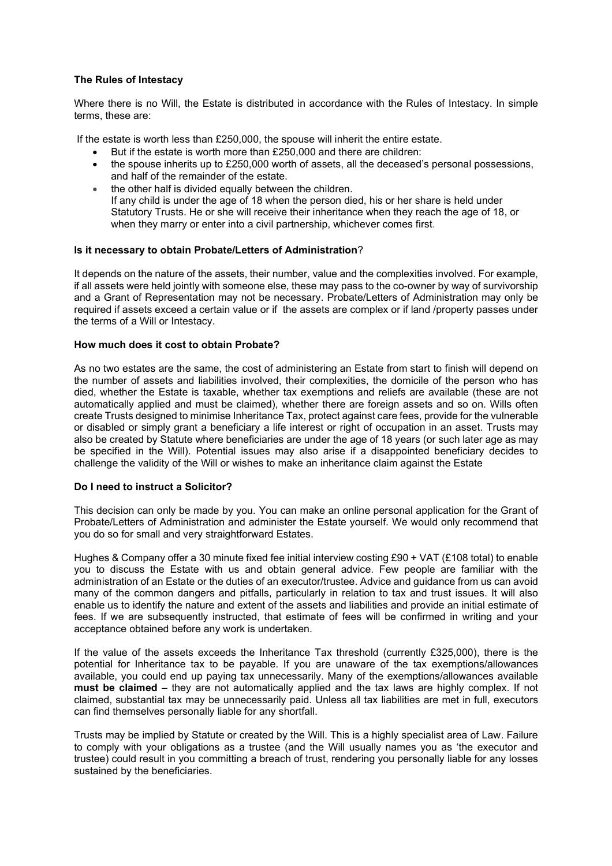# **The Rules of Intestacy**

Where there is no Will, the Estate is distributed in accordance with the Rules of Intestacy. In simple terms, these are:

If the estate is worth less than £250,000, the spouse will inherit the entire estate.

- But if the estate is worth more than £250,000 and there are children:
- the spouse inherits up to £250,000 worth of assets, all the deceased's personal possessions, and half of the remainder of the estate.
- the other half is divided equally between the children. If any child is under the age of 18 when the person died, his or her share is held under Statutory Trusts. He or she will receive their inheritance when they reach the age of 18, or when they marry or enter into a civil partnership, whichever comes first.

## **Is it necessary to obtain Probate/Letters of Administration**?

It depends on the nature of the assets, their number, value and the complexities involved. For example, if all assets were held jointly with someone else, these may pass to the co-owner by way of survivorship and a Grant of Representation may not be necessary. Probate/Letters of Administration may only be required if assets exceed a certain value or if the assets are complex or if land /property passes under the terms of a Will or Intestacy.

## **How much does it cost to obtain Probate?**

As no two estates are the same, the cost of administering an Estate from start to finish will depend on the number of assets and liabilities involved, their complexities, the domicile of the person who has died, whether the Estate is taxable, whether tax exemptions and reliefs are available (these are not automatically applied and must be claimed), whether there are foreign assets and so on. Wills often create Trusts designed to minimise Inheritance Tax, protect against care fees, provide for the vulnerable or disabled or simply grant a beneficiary a life interest or right of occupation in an asset. Trusts may also be created by Statute where beneficiaries are under the age of 18 years (or such later age as may be specified in the Will). Potential issues may also arise if a disappointed beneficiary decides to challenge the validity of the Will or wishes to make an inheritance claim against the Estate

#### **Do I need to instruct a Solicitor?**

This decision can only be made by you. You can make an online personal application for the Grant of Probate/Letters of Administration and administer the Estate yourself. We would only recommend that you do so for small and very straightforward Estates.

Hughes & Company offer a 30 minute fixed fee initial interview costing £90 + VAT (£108 total) to enable you to discuss the Estate with us and obtain general advice. Few people are familiar with the administration of an Estate or the duties of an executor/trustee. Advice and guidance from us can avoid many of the common dangers and pitfalls, particularly in relation to tax and trust issues. It will also enable us to identify the nature and extent of the assets and liabilities and provide an initial estimate of fees. If we are subsequently instructed, that estimate of fees will be confirmed in writing and your acceptance obtained before any work is undertaken.

If the value of the assets exceeds the Inheritance Tax threshold (currently  $£325,000$ ), there is the potential for Inheritance tax to be payable. If you are unaware of the tax exemptions/allowances available, you could end up paying tax unnecessarily. Many of the exemptions/allowances available **must be claimed** – they are not automatically applied and the tax laws are highly complex. If not claimed, substantial tax may be unnecessarily paid. Unless all tax liabilities are met in full, executors can find themselves personally liable for any shortfall.

Trusts may be implied by Statute or created by the Will. This is a highly specialist area of Law. Failure to comply with your obligations as a trustee (and the Will usually names you as 'the executor and trustee) could result in you committing a breach of trust, rendering you personally liable for any losses sustained by the beneficiaries.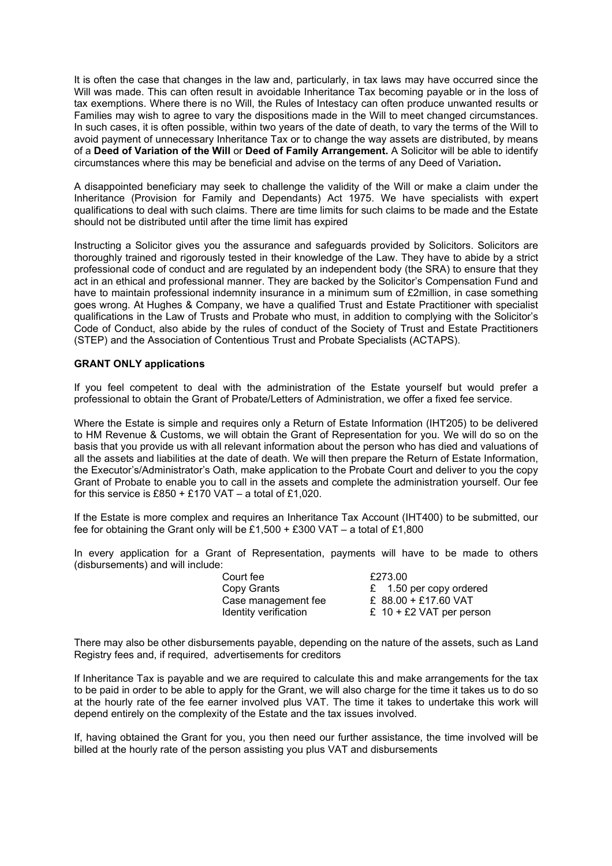It is often the case that changes in the law and, particularly, in tax laws may have occurred since the Will was made. This can often result in avoidable Inheritance Tax becoming payable or in the loss of tax exemptions. Where there is no Will, the Rules of Intestacy can often produce unwanted results or Families may wish to agree to vary the dispositions made in the Will to meet changed circumstances. In such cases, it is often possible, within two years of the date of death, to vary the terms of the Will to avoid payment of unnecessary Inheritance Tax or to change the way assets are distributed, by means of a **Deed of Variation of the Will** or **Deed of Family Arrangement.** A Solicitor will be able to identify circumstances where this may be beneficial and advise on the terms of any Deed of Variation**.** 

A disappointed beneficiary may seek to challenge the validity of the Will or make a claim under the Inheritance (Provision for Family and Dependants) Act 1975. We have specialists with expert qualifications to deal with such claims. There are time limits for such claims to be made and the Estate should not be distributed until after the time limit has expired

Instructing a Solicitor gives you the assurance and safeguards provided by Solicitors. Solicitors are thoroughly trained and rigorously tested in their knowledge of the Law. They have to abide by a strict professional code of conduct and are regulated by an independent body (the SRA) to ensure that they act in an ethical and professional manner. They are backed by the Solicitor's Compensation Fund and have to maintain professional indemnity insurance in a minimum sum of £2million, in case something goes wrong. At Hughes & Company, we have a qualified Trust and Estate Practitioner with specialist qualifications in the Law of Trusts and Probate who must, in addition to complying with the Solicitor's Code of Conduct, also abide by the rules of conduct of the Society of Trust and Estate Practitioners (STEP) and the Association of Contentious Trust and Probate Specialists (ACTAPS).

## **GRANT ONLY applications**

If you feel competent to deal with the administration of the Estate yourself but would prefer a professional to obtain the Grant of Probate/Letters of Administration, we offer a fixed fee service.

Where the Estate is simple and requires only a Return of Estate Information (IHT205) to be delivered to HM Revenue & Customs, we will obtain the Grant of Representation for you. We will do so on the basis that you provide us with all relevant information about the person who has died and valuations of all the assets and liabilities at the date of death. We will then prepare the Return of Estate Information, the Executor's/Administrator's Oath, make application to the Probate Court and deliver to you the copy Grant of Probate to enable you to call in the assets and complete the administration yourself. Our fee for this service is £850 + £170 VAT – a total of £1,020.

If the Estate is more complex and requires an Inheritance Tax Account (IHT400) to be submitted, our fee for obtaining the Grant only will be £1,500 + £300 VAT – a total of £1,800

In every application for a Grant of Representation, payments will have to be made to others (disbursements) and will include:

> Court fee £273.00 Copy Crance<br>Case management fee

Copy Grants 6 E 1.50 per copy ordered<br>Case management fee £ 88.00 + £17.60 VAT Identity verification  $E = 10 + E2$  VAT per person

There may also be other disbursements payable, depending on the nature of the assets, such as Land Registry fees and, if required, advertisements for creditors

If Inheritance Tax is payable and we are required to calculate this and make arrangements for the tax to be paid in order to be able to apply for the Grant, we will also charge for the time it takes us to do so at the hourly rate of the fee earner involved plus VAT. The time it takes to undertake this work will depend entirely on the complexity of the Estate and the tax issues involved.

If, having obtained the Grant for you, you then need our further assistance, the time involved will be billed at the hourly rate of the person assisting you plus VAT and disbursements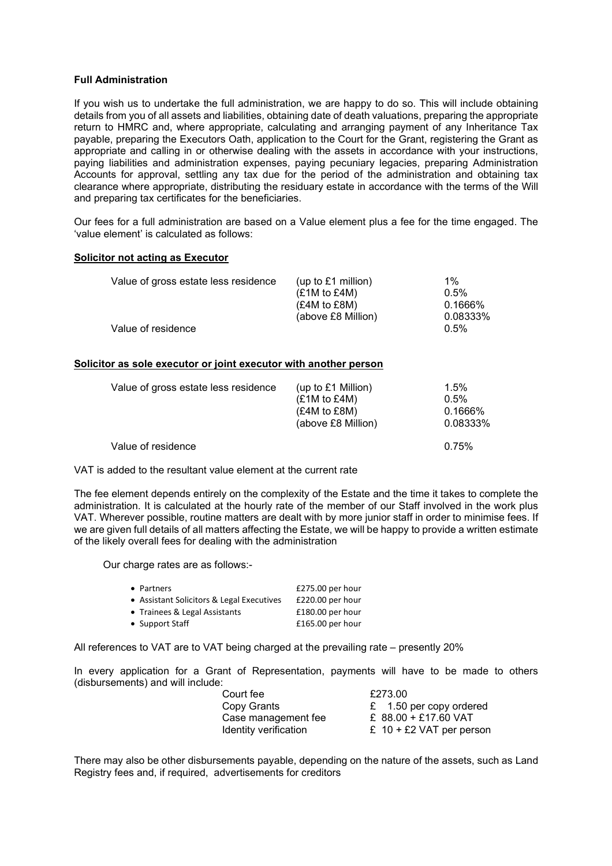## **Full Administration**

If you wish us to undertake the full administration, we are happy to do so. This will include obtaining details from you of all assets and liabilities, obtaining date of death valuations, preparing the appropriate return to HMRC and, where appropriate, calculating and arranging payment of any Inheritance Tax payable, preparing the Executors Oath, application to the Court for the Grant, registering the Grant as appropriate and calling in or otherwise dealing with the assets in accordance with your instructions, paying liabilities and administration expenses, paying pecuniary legacies, preparing Administration Accounts for approval, settling any tax due for the period of the administration and obtaining tax clearance where appropriate, distributing the residuary estate in accordance with the terms of the Will and preparing tax certificates for the beneficiaries.

Our fees for a full administration are based on a Value element plus a fee for the time engaged. The 'value element' is calculated as follows:

#### **Solicitor not acting as Executor**

| Value of gross estate less residence | (up to $£1$ million) | $1\%$    |
|--------------------------------------|----------------------|----------|
|                                      | (E1M to E4M)         | 0.5%     |
|                                      | (E4M to E8M)         | 0.1666%  |
|                                      | (above £8 Million)   | 0.08333% |
| Value of residence                   |                      | 0.5%     |

## **Solicitor as sole executor or joint executor with another person**

| Value of gross estate less residence | (up to $£1$ Million)<br>(E1M to E4M)<br>(£4M to £8M)<br>(above £8 Million) | 1.5%<br>0.5%<br>0.1666%<br>0.08333% |
|--------------------------------------|----------------------------------------------------------------------------|-------------------------------------|
| Value of residence                   |                                                                            | 0.75%                               |

VAT is added to the resultant value element at the current rate

The fee element depends entirely on the complexity of the Estate and the time it takes to complete the administration. It is calculated at the hourly rate of the member of our Staff involved in the work plus VAT. Wherever possible, routine matters are dealt with by more junior staff in order to minimise fees. If we are given full details of all matters affecting the Estate, we will be happy to provide a written estimate of the likely overall fees for dealing with the administration

Our charge rates are as follows:-

| • Partners                                | $£275.00$ per hour |
|-------------------------------------------|--------------------|
| • Assistant Solicitors & Legal Executives | £220.00 per hour   |
| • Trainees & Legal Assistants             | £180.00 per hour   |
| • Support Staff                           | $£165.00$ per hour |

All references to VAT are to VAT being charged at the prevailing rate – presently 20%

In every application for a Grant of Representation, payments will have to be made to others (disbursements) and will include:

| Court fee             | £273.00                    |
|-----------------------|----------------------------|
| Copy Grants           | £ 1.50 per copy ordered    |
| Case management fee   | £ $88.00 + £17.60$ VAT     |
| Identity verification | £ $10 + E2$ VAT per person |

There may also be other disbursements payable, depending on the nature of the assets, such as Land Registry fees and, if required, advertisements for creditors